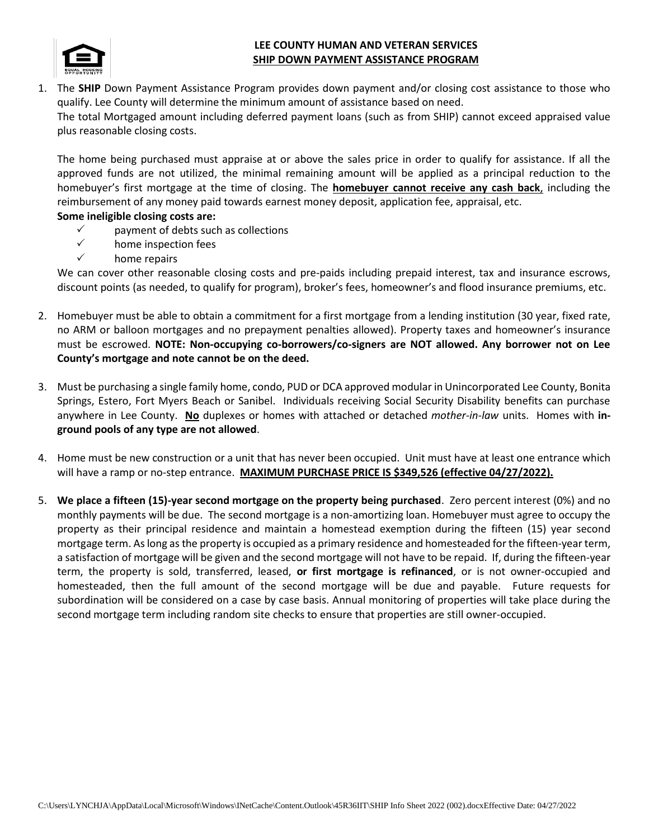

## **LEE COUNTY HUMAN AND VETERAN SERVICES SHIP DOWN PAYMENT ASSISTANCE PROGRAM**

1. The **SHIP** Down Payment Assistance Program provides down payment and/or closing cost assistance to those who qualify. Lee County will determine the minimum amount of assistance based on need. The total Mortgaged amount including deferred payment loans (such as from SHIP) cannot exceed appraised value plus reasonable closing costs.

The home being purchased must appraise at or above the sales price in order to qualify for assistance. If all the approved funds are not utilized, the minimal remaining amount will be applied as a principal reduction to the homebuyer's first mortgage at the time of closing. The **homebuyer cannot receive any cash back**, including the reimbursement of any money paid towards earnest money deposit, application fee, appraisal, etc.

## **Some ineligible closing costs are:**

- $\checkmark$  payment of debts such as collections
- $\checkmark$  home inspection fees
- $\checkmark$  home repairs

We can cover other reasonable closing costs and pre-paids including prepaid interest, tax and insurance escrows, discount points (as needed, to qualify for program), broker's fees, homeowner's and flood insurance premiums, etc.

- 2. Homebuyer must be able to obtain a commitment for a first mortgage from a lending institution (30 year, fixed rate, no ARM or balloon mortgages and no prepayment penalties allowed). Property taxes and homeowner's insurance must be escrowed. **NOTE: Non-occupying co-borrowers/co-signers are NOT allowed. Any borrower not on Lee County's mortgage and note cannot be on the deed.**
- 3. Must be purchasing a single family home, condo, PUD or DCA approved modular in Unincorporated Lee County, Bonita Springs, Estero, Fort Myers Beach or Sanibel. Individuals receiving Social Security Disability benefits can purchase anywhere in Lee County. **No** duplexes or homes with attached or detached *mother-in-law* units. Homes with **inground pools of any type are not allowed**.
- 4. Home must be new construction or a unit that has never been occupied. Unit must have at least one entrance which will have a ramp or no-step entrance. **MAXIMUM PURCHASE PRICE IS \$349,526 (effective 04/27/2022).**
- 5. **We place a fifteen (15)-year second mortgage on the property being purchased**. Zero percent interest (0%) and no monthly payments will be due. The second mortgage is a non-amortizing loan. Homebuyer must agree to occupy the property as their principal residence and maintain a homestead exemption during the fifteen (15) year second mortgage term. As long as the property is occupied as a primary residence and homesteaded for the fifteen-year term, a satisfaction of mortgage will be given and the second mortgage will not have to be repaid. If, during the fifteen-year term, the property is sold, transferred, leased, **or first mortgage is refinanced**, or is not owner-occupied and homesteaded, then the full amount of the second mortgage will be due and payable. Future requests for subordination will be considered on a case by case basis. Annual monitoring of properties will take place during the second mortgage term including random site checks to ensure that properties are still owner-occupied.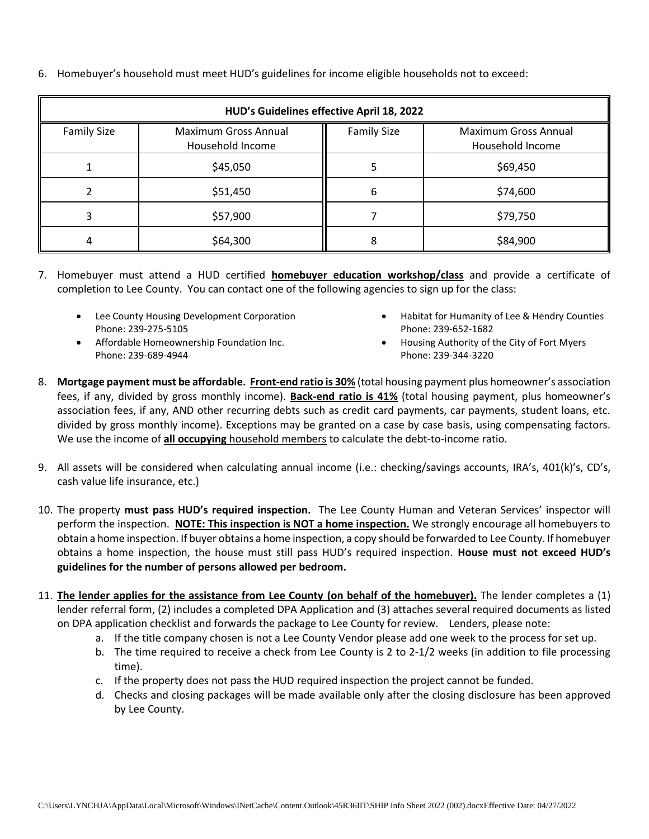6. Homebuyer's household must meet HUD's guidelines for income eligible households not to exceed:

| HUD's Guidelines effective April 18, 2022 |                                          |                    |                                          |
|-------------------------------------------|------------------------------------------|--------------------|------------------------------------------|
| <b>Family Size</b>                        | Maximum Gross Annual<br>Household Income | <b>Family Size</b> | Maximum Gross Annual<br>Household Income |
|                                           | \$45,050                                 |                    | \$69,450                                 |
|                                           | \$51,450                                 | ь                  | \$74,600                                 |
|                                           | \$57,900                                 |                    | \$79,750                                 |
| 4                                         | \$64,300                                 |                    | \$84,900                                 |

- 7. Homebuyer must attend a HUD certified **homebuyer education workshop/class** and provide a certificate of completion to Lee County. You can contact one of the following agencies to sign up for the class:
	- Lee County Housing Development Corporation Phone: 239-275-5105
	- Affordable Homeownership Foundation Inc. Phone: 239-689-4944
- Habitat for Humanity of Lee & Hendry Counties Phone: 239-652-1682
- Housing Authority of the City of Fort Myers Phone: 239-344-3220
- 8. **Mortgage payment must be affordable. Front-end ratio is 30%** (total housing payment plus homeowner's association fees, if any, divided by gross monthly income). **Back-end ratio is 41%** (total housing payment, plus homeowner's association fees, if any, AND other recurring debts such as credit card payments, car payments, student loans, etc. divided by gross monthly income). Exceptions may be granted on a case by case basis, using compensating factors. We use the income of **all occupying** household members to calculate the debt-to-income ratio.
- 9. All assets will be considered when calculating annual income (i.e.: checking/savings accounts, IRA's, 401(k)'s, CD's, cash value life insurance, etc.)
- 10. The property **must pass HUD's required inspection.** The Lee County Human and Veteran Services' inspector will perform the inspection. **NOTE: This inspection is NOT a home inspection.** We strongly encourage all homebuyers to obtain a home inspection. If buyer obtains a home inspection, a copy should be forwarded to Lee County. If homebuyer obtains a home inspection, the house must still pass HUD's required inspection. **House must not exceed HUD's guidelines for the number of persons allowed per bedroom.**
- 11. **The lender applies for the assistance from Lee County (on behalf of the homebuyer).** The lender completes a (1) lender referral form, (2) includes a completed DPA Application and (3) attaches several required documents as listed on DPA application checklist and forwards the package to Lee County for review. Lenders, please note:
	- a. If the title company chosen is not a Lee County Vendor please add one week to the process for set up.
	- b. The time required to receive a check from Lee County is 2 to 2-1/2 weeks (in addition to file processing time).
	- c. If the property does not pass the HUD required inspection the project cannot be funded.
	- d. Checks and closing packages will be made available only after the closing disclosure has been approved by Lee County.